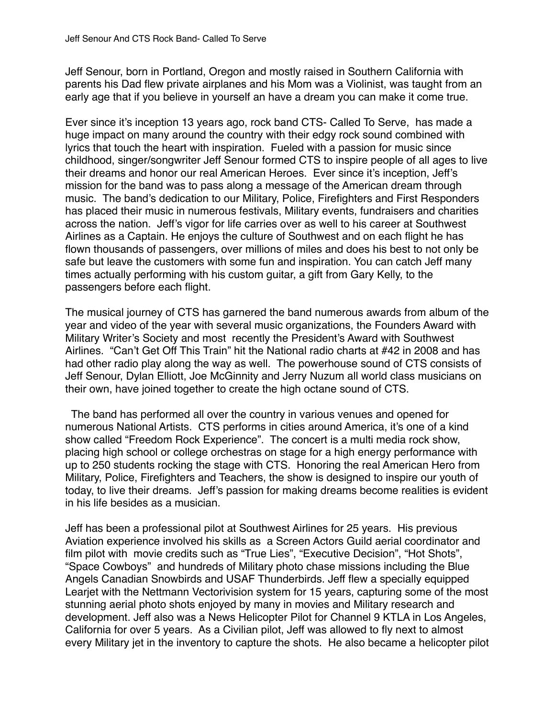Jeff Senour, born in Portland, Oregon and mostly raised in Southern California with parents his Dad flew private airplanes and his Mom was a Violinist, was taught from an early age that if you believe in yourself an have a dream you can make it come true.

Ever since it's inception 13 years ago, rock band CTS- Called To Serve, has made a huge impact on many around the country with their edgy rock sound combined with lyrics that touch the heart with inspiration. Fueled with a passion for music since childhood, singer/songwriter Jeff Senour formed CTS to inspire people of all ages to live their dreams and honor our real American Heroes. Ever since it's inception, Jeff's mission for the band was to pass along a message of the American dream through music. The band's dedication to our Military, Police, Firefighters and First Responders has placed their music in numerous festivals, Military events, fundraisers and charities across the nation. Jeff's vigor for life carries over as well to his career at Southwest Airlines as a Captain. He enjoys the culture of Southwest and on each flight he has flown thousands of passengers, over millions of miles and does his best to not only be safe but leave the customers with some fun and inspiration. You can catch Jeff many times actually performing with his custom guitar, a gift from Gary Kelly, to the passengers before each flight.

The musical journey of CTS has garnered the band numerous awards from album of the year and video of the year with several music organizations, the Founders Award with Military Writer's Society and most recently the President's Award with Southwest Airlines. "Can't Get Off This Train" hit the National radio charts at #42 in 2008 and has had other radio play along the way as well. The powerhouse sound of CTS consists of Jeff Senour, Dylan Elliott, Joe McGinnity and Jerry Nuzum all world class musicians on their own, have joined together to create the high octane sound of CTS.

 The band has performed all over the country in various venues and opened for numerous National Artists. CTS performs in cities around America, it's one of a kind show called "Freedom Rock Experience". The concert is a multi media rock show, placing high school or college orchestras on stage for a high energy performance with up to 250 students rocking the stage with CTS. Honoring the real American Hero from Military, Police, Firefighters and Teachers, the show is designed to inspire our youth of today, to live their dreams. Jeff's passion for making dreams become realities is evident in his life besides as a musician.

Jeff has been a professional pilot at Southwest Airlines for 25 years. His previous Aviation experience involved his skills as a Screen Actors Guild aerial coordinator and film pilot with movie credits such as "True Lies", "Executive Decision", "Hot Shots", "Space Cowboys" and hundreds of Military photo chase missions including the Blue Angels Canadian Snowbirds and USAF Thunderbirds. Jeff flew a specially equipped Learjet with the Nettmann Vectorivision system for 15 years, capturing some of the most stunning aerial photo shots enjoyed by many in movies and Military research and development. Jeff also was a News Helicopter Pilot for Channel 9 KTLA in Los Angeles, California for over 5 years. As a Civilian pilot, Jeff was allowed to fly next to almost every Military jet in the inventory to capture the shots. He also became a helicopter pilot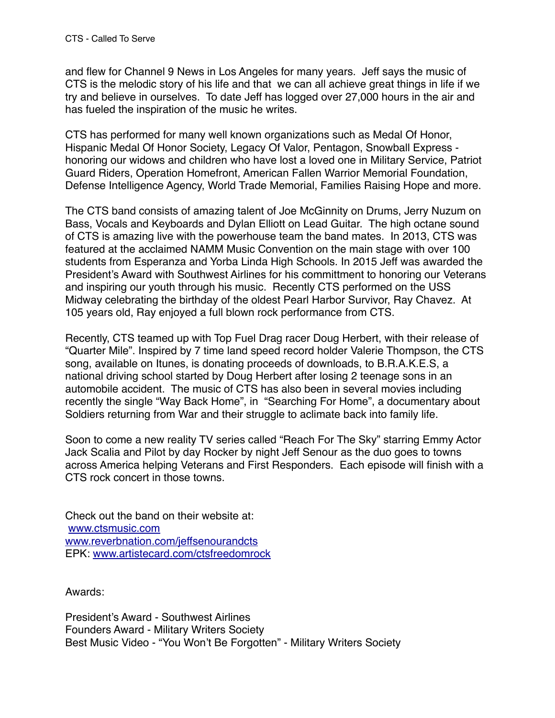and flew for Channel 9 News in Los Angeles for many years. Jeff says the music of CTS is the melodic story of his life and that we can all achieve great things in life if we try and believe in ourselves. To date Jeff has logged over 27,000 hours in the air and has fueled the inspiration of the music he writes.

CTS has performed for many well known organizations such as Medal Of Honor, Hispanic Medal Of Honor Society, Legacy Of Valor, Pentagon, Snowball Express honoring our widows and children who have lost a loved one in Military Service, Patriot Guard Riders, Operation Homefront, American Fallen Warrior Memorial Foundation, Defense Intelligence Agency, World Trade Memorial, Families Raising Hope and more.

The CTS band consists of amazing talent of Joe McGinnity on Drums, Jerry Nuzum on Bass, Vocals and Keyboards and Dylan Elliott on Lead Guitar. The high octane sound of CTS is amazing live with the powerhouse team the band mates. In 2013, CTS was featured at the acclaimed NAMM Music Convention on the main stage with over 100 students from Esperanza and Yorba Linda High Schools. In 2015 Jeff was awarded the President's Award with Southwest Airlines for his committment to honoring our Veterans and inspiring our youth through his music. Recently CTS performed on the USS Midway celebrating the birthday of the oldest Pearl Harbor Survivor, Ray Chavez. At 105 years old, Ray enjoyed a full blown rock performance from CTS.

Recently, CTS teamed up with Top Fuel Drag racer Doug Herbert, with their release of "Quarter Mile". Inspired by 7 time land speed record holder Valerie Thompson, the CTS song, available on Itunes, is donating proceeds of downloads, to B.R.A.K.E.S, a national driving school started by Doug Herbert after losing 2 teenage sons in an automobile accident. The music of CTS has also been in several movies including recently the single "Way Back Home", in "Searching For Home", a documentary about Soldiers returning from War and their struggle to aclimate back into family life.

Soon to come a new reality TV series called "Reach For The Sky" starring Emmy Actor Jack Scalia and Pilot by day Rocker by night Jeff Senour as the duo goes to towns across America helping Veterans and First Responders. Each episode will finish with a CTS rock concert in those towns.

Check out the band on their website at: [www.ctsmusic.com](http://www.ctsmusic.com) [www.reverbnation.com/jeffsenourandcts](http://www.reverbnation.com/jeffsenourandcts) EPK: [www.artistecard.com/ctsfreedomrock](http://www.artistecard.com/ctsfreedomrock)

Awards:

President's Award - Southwest Airlines Founders Award - Military Writers Society Best Music Video - "You Won't Be Forgotten" - Military Writers Society